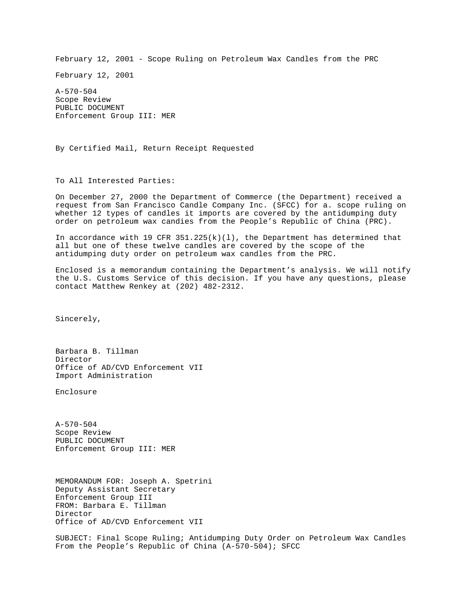February 12, 2001 - Scope Ruling on Petroleum Wax Candles from the PRC

February 12, 2001

A-570-504 Scope Review PUBLIC DOCUMENT Enforcement Group III: MER

By Certified Mail, Return Receipt Requested

To All Interested Parties:

On December 27, 2000 the Department of Commerce (the Department) received a request from San Francisco Candle Company Inc. (SFCC) for a. scope ruling on whether 12 types of candles it imports are covered by the antidumping duty order on petroleum wax candies from the People's Republic of China (PRC).

In accordance with 19 CFR  $351.225(k)(1)$ , the Department has determined that all but one of these twelve candles are covered by the scope of the antidumping duty order on petroleum wax candles from the PRC.

Enclosed is a memorandum containing the Department's analysis. We will notify the U.S. Customs Service of this decision. If you have any questions, please contact Matthew Renkey at (202) 482-2312.

Sincerely,

Barbara B. Tillman Director Office of AD/CVD Enforcement VII Import Administration

Enclosure

A-570-504 Scope Review PUBLIC DOCUMENT Enforcement Group III: MER

MEMORANDUM FOR: Joseph A. Spetrini Deputy Assistant Secretary Enforcement Group III FROM: Barbara E. Tillman Director Office of AD/CVD Enforcement VII

SUBJECT: Final Scope Ruling; Antidumping Duty Order on Petroleum Wax Candles From the People's Republic of China (A-570-504); SFCC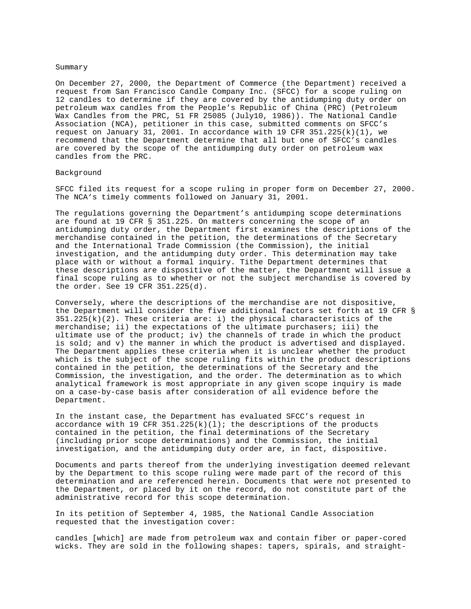#### Summary

On December 27, 2000, the Department of Commerce (the Department) received a request from San Francisco Candle Company Inc. (SFCC) for a scope ruling on 12 candles to determine if they are covered by the antidumping duty order on petroleum wax candles from the People's Republic of China (PRC) (Petroleum Wax Candles from the PRC, 51 FR 25085 (July10, 1986)). The National Candle Association (NCA), petitioner in this case, submitted comments on SFCC's request on January 31, 2001. In accordance with 19 CFR 351.225( $k$ )(1), we recommend that the Department determine that all but one of SFCC's candles are covered by the scope of the antidumping duty order on petroleum wax candles from the PRC.

# Background

SFCC filed its request for a scope ruling in proper form on December 27, 2000. The NCA's timely comments followed on January 31, 2001.

The regulations governing the Department's antidumping scope determinations are found at 19 CFR § 351.225. On matters concerning the scope of an antidumping duty order, the Department first examines the descriptions of the merchandise contained in the petition, the determinations of the Secretary and the International Trade Commission (the Commission), the initial investigation, and the antidumping duty order. This determination may take place with or without a formal inquiry. Tithe Department determines that these descriptions are dispositive of the matter, the Department will issue a final scope ruling as to whether or not the subject merchandise is covered by the order. See 19 CFR 351.225(d).

Conversely, where the descriptions of the merchandise are not dispositive, the Department will consider the five additional factors set forth at 19 CFR §  $351.225(k)(2)$ . These criteria are: i) the physical characteristics of the merchandise; ii) the expectations of the ultimate purchasers; iii) the ultimate use of the product; iv) the channels of trade in which the product is sold; and v) the manner in which the product is advertised and displayed. The Department applies these criteria when it is unclear whether the product which is the subject of the scope ruling fits within the product descriptions contained in the petition, the determinations of the Secretary and the Commission, the investigation, and the order. The determination as to which analytical framework is most appropriate in any given scope inquiry is made on a case-by-case basis after consideration of all evidence before the Department.

In the instant case, the Department has evaluated SFCC's request in accordance with 19 CFR  $351.225(k)(1)$ ; the descriptions of the products contained in the petition, the final determinations of the Secretary (including prior scope determinations) and the Commission, the initial investigation, and the antidumping duty order are, in fact, dispositive.

Documents and parts thereof from the underlying investigation deemed relevant by the Department to this scope ruling were made part of the record of this determination and are referenced herein. Documents that were not presented to the Department, or placed by it on the record, do not constitute part of the administrative record for this scope determination.

In its petition of September 4, 1985, the National Candle Association requested that the investigation cover:

candles [which] are made from petroleum wax and contain fiber or paper-cored wicks. They are sold in the following shapes: tapers, spirals, and straight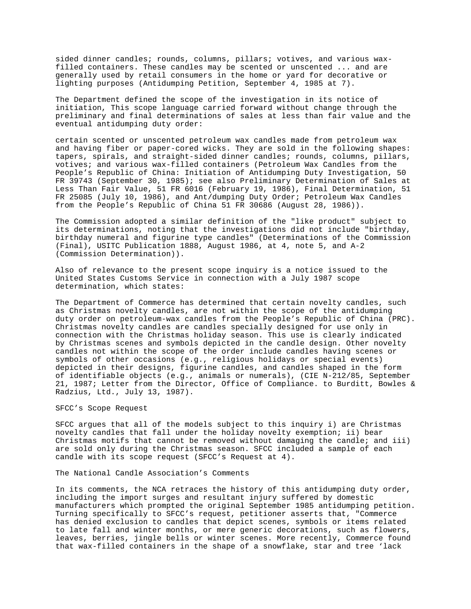sided dinner candles; rounds, columns, pillars; votives, and various waxfilled containers. These candles may be scented or unscented ... and are generally used by retail consumers in the home or yard for decorative or lighting purposes (Antidumping Petition, September 4, 1985 at 7).

The Department defined the scope of the investigation in its notice of initiation, This scope language carried forward without change through the preliminary and final determinations of sales at less than fair value and the eventual antidumping duty order:

certain scented or unscented petroleum wax candles made from petroleum wax and having fiber or paper-cored wicks. They are sold in the following shapes: tapers, spirals, and straight-sided dinner candles; rounds, columns, pillars, votives; and various wax-filled containers (Petroleum Wax Candles from the People's Republic of China: Initiation of Antidumping Duty Investigation, 50 FR 39743 (September 30, 1985); see also Preliminary Determination of Sales at Less Than Fair Value, 51 FR 6016 (February 19, 1986), Final Determination, 51 FR 25085 (July 10, 1986), and Ant/dumping Duty Order; Petroleum Wax Candles from the People's Republic of China 51 FR 30686 (August 28, 1986)).

The Commission adopted a similar definition of the "like product" subject to its determinations, noting that the investigations did not include "birthday, birthday numeral and figurine type candles" (Determinations of the Commission (Final), USITC Publication 1888, August 1986, at 4, note 5, and A-2 (Commission Determination)).

Also of relevance to the present scope inquiry is a notice issued to the United States Customs Service in connection with a July 1987 scope determination, which states:

The Department of Commerce has determined that certain novelty candles, such as Christmas novelty candles, are not within the scope of the antidumping duty order on petroleum-wax candles from the People's Republic of China (PRC). Christmas novelty candles are candles specially designed for use only in connection with the Christmas holiday season. This use is clearly indicated by Christmas scenes and symbols depicted in the candle design. Other novelty candles not within the scope of the order include candles having scenes or symbols of other occasions (e.g., religious holidays or special events) depicted in their designs, figurine candles, and candles shaped in the form of identifiable objects (e.g., animals or numerals), (CIE N-212/85, September 21, 1987; Letter from the Director, Office of Compliance. to Burditt, Bowles & Radzius, Ltd., July 13, 1987).

### SFCC's Scope Request

SFCC argues that all of the models subject to this inquiry i) are Christmas novelty candles that fall under the holiday novelty exemption; ii) bear Christmas motifs that cannot be removed without damaging the candle; and iii) are sold only during the Christmas season. SFCC included a sample of each candle with its scope request (SFCC's Request at 4).

# The National Candle Association's Comments

In its comments, the NCA retraces the history of this antidumping duty order, including the import surges and resultant injury suffered by domestic manufacturers which prompted the original September 1985 antidumping petition. Turning specifically to SFCC's request, petitioner asserts that, "Commerce has denied exclusion to candles that depict scenes, symbols or items related to late fall and winter months, or mere generic decorations, such as flowers, leaves, berries, jingle bells or winter scenes. More recently, Commerce found that wax-filled containers in the shape of a snowflake, star and tree 'lack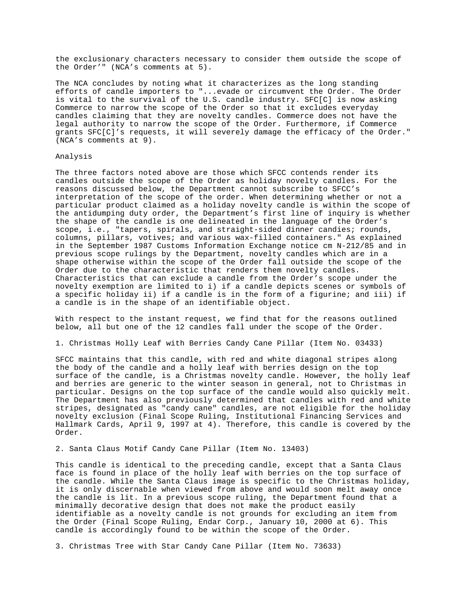the exclusionary characters necessary to consider them outside the scope of the Order'" (NCA's comments at 5).

The NCA concludes by noting what it characterizes as the long standing efforts of candle importers to "...evade or circumvent the Order. The Order is vital to the survival of the U.S. candle industry. SFC[C] is now asking Commerce to narrow the scope of the Order so that it excludes everyday candles claiming that they are novelty candles. Commerce does not have the legal authority to narrow the scope of the Order. Furthermore, if Commerce grants SFC[C]'s requests, it will severely damage the efficacy of the Order." (NCA's comments at 9).

# Analysis

The three factors noted above are those which SFCC contends render its candles outside the scope of the Order as holiday novelty candles. For the reasons discussed below, the Department cannot subscribe to SFCC's interpretation of the scope of the order. When determining whether or not a particular product claimed as a holiday novelty candle is within the scope of the antidumping duty order, the Department's first line of inquiry is whether the shape of the candle is one delineated in the language of the Order's scope, i.e., "tapers, spirals, and straight-sided dinner candies; rounds, columns, pillars, votives; and various wax-filled containers." As explained in the September 1987 Customs Information Exchange notice cm N-212/85 and in previous scope rulings by the Department, novelty candles which are in a shape otherwise within the scope of the Order fall outside the scope of the Order due to the characteristic that renders them novelty candles. Characteristics that can exclude a candle from the Order's scope under the novelty exemption are limited to i) if a candle depicts scenes or symbols of a specific holiday ii) if a candle is in the form of a figurine; and iii) if a candle is in the shape of an identifiable object.

With respect to the instant request, we find that for the reasons outlined below, all but one of the 12 candles fall under the scope of the Order.

1. Christmas Holly Leaf with Berries Candy Cane Pillar (Item No. 03433)

SFCC maintains that this candle, with red and white diagonal stripes along the body of the candle and a holly leaf with berries design on the top surface of the candle, is a Christmas novelty candle. However, the holly leaf and berries are generic to the winter season in general, not to Christmas in particular. Designs on the top surface of the candle would also quickly melt. The Department has also previously determined that candles with red and white stripes, designated as "candy cane" candles, are not eligible for the holiday novelty exclusion (Final Scope Ruling, Institutional Financing Services and Hallmark Cards, April 9, 1997 at 4). Therefore, this candle is covered by the Order.

2. Santa Claus Motif Candy Cane Pillar (Item No. 13403)

This candle is identical to the preceding candle, except that a Santa Claus face is found in place of the holly leaf with berries on the top surface of the candle. While the Santa Claus image is specific to the Christmas holiday, it is only discernable when viewed from above and would soon melt away once the candle is lit. In a previous scope ruling, the Department found that a minimally decorative design that does not make the product easily identifiable as a novelty candle is not grounds for excluding an item from the Order (Final Scope Ruling, Endar Corp., January 10, 2000 at 6). This candle is accordingly found to be within the scope of the Order.

3. Christmas Tree with Star Candy Cane Pillar (Item No. 73633)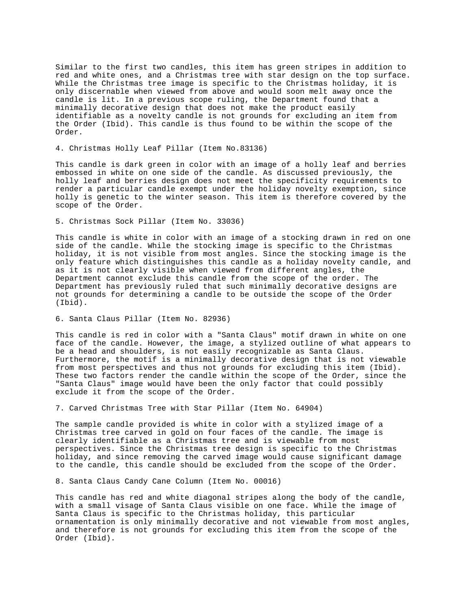Similar to the first two candles, this item has green stripes in addition to red and white ones, and a Christmas tree with star design on the top surface. While the Christmas tree image is specific to the Christmas holiday, it is only discernable when viewed from above and would soon melt away once the candle is lit. In a previous scope ruling, the Department found that a minimally decorative design that does not make the product easily identifiable as a novelty candle is not grounds for excluding an item from the Order (Ibid). This candle is thus found to be within the scope of the Order.

# 4. Christmas Holly Leaf Pillar (Item No.83136)

This candle is dark green in color with an image of a holly leaf and berries embossed in white on one side of the candle. As discussed previously, the holly leaf and berries design does not meet the specificity requirements to render a particular candle exempt under the holiday novelty exemption, since holly is genetic to the winter season. This item is therefore covered by the scope of the Order.

5. Christmas Sock Pillar (Item No. 33036)

This candle is white in color with an image of a stocking drawn in red on one side of the candle. While the stocking image is specific to the Christmas holiday, it is not visible from most angles. Since the stocking image is the only feature which distinguishes this candle as a holiday novelty candle, and as it is not clearly visible when viewed from different angles, the Department cannot exclude this candle from the scope of the order. The Department has previously ruled that such minimally decorative designs are not grounds for determining a candle to be outside the scope of the Order (Ibid).

# 6. Santa Claus Pillar (Item No. 82936)

This candle is red in color with a "Santa Claus" motif drawn in white on one face of the candle. However, the image, a stylized outline of what appears to be a head and shoulders, is not easily recognizable as Santa Claus. Furthermore, the motif is a minimally decorative design that is not viewable from most perspectives and thus not grounds for excluding this item (Ibid). These two factors render the candle within the scope of the Order, since the "Santa Claus" image would have been the only factor that could possibly exclude it from the scope of the Order.

7. Carved Christmas Tree with Star Pillar (Item No. 64904)

The sample candle provided is white in color with a stylized image of a Christmas tree carved in gold on four faces of the candle. The image is clearly identifiable as a Christmas tree and is viewable from most perspectives. Since the Christmas tree design is specific to the Christmas holiday, and since removing the carved image would cause significant damage to the candle, this candle should be excluded from the scope of the Order.

8. Santa Claus Candy Cane Column (Item No. 00016)

This candle has red and white diagonal stripes along the body of the candle, with a small visage of Santa Claus visible on one face. While the image of Santa Claus is specific to the Christmas holiday, this particular ornamentation is only minimally decorative and not viewable from most angles, and therefore is not grounds for excluding this item from the scope of the Order (Ibid).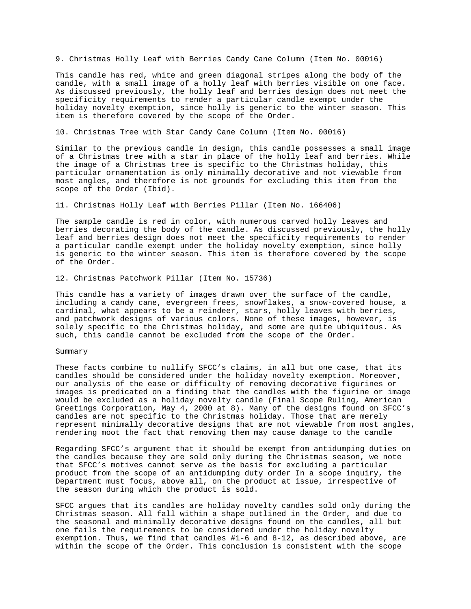9. Christmas Holly Leaf with Berries Candy Cane Column (Item No. 00016)

This candle has red, white and green diagonal stripes along the body of the candle, with a small image of a holly leaf with berries visible on one face. As discussed previously, the holly leaf and berries design does not meet the specificity requirements to render a particular candle exempt under the holiday novelty exemption, since holly is generic to the winter season. This item is therefore covered by the scope of the Order.

10. Christmas Tree with Star Candy Cane Column (Item No. 00016)

Similar to the previous candle in design, this candle possesses a small image of a Christmas tree with a star in place of the holly leaf and berries. While the image of a Christmas tree is specific to the Christmas holiday, this particular ornamentation is only minimally decorative and not viewable from most angles, and therefore is not grounds for excluding this item from the scope of the Order (Ibid).

11. Christmas Holly Leaf with Berries Pillar (Item No. 166406)

The sample candle is red in color, with numerous carved holly leaves and berries decorating the body of the candle. As discussed previously, the holly leaf and berries design does not meet the specificity requirements to render a particular candle exempt under the holiday novelty exemption, since holly is generic to the winter season. This item is therefore covered by the scope of the Order.

12. Christmas Patchwork Pillar (Item No. 15736)

This candle has a variety of images drawn over the surface of the candle, including a candy cane, evergreen frees, snowflakes, a snow-covered house, a cardinal, what appears to be a reindeer, stars, holly leaves with berries, and patchwork designs of various colors. None of these images, however, is solely specific to the Christmas holiday, and some are quite ubiquitous. As such, this candle cannot be excluded from the scope of the Order.

# Summary

These facts combine to nullify SFCC's claims, in all but one case, that its candles should be considered under the holiday novelty exemption. Moreover, our analysis of the ease or difficulty of removing decorative figurines or images is predicated on a finding that the candles with the figurine or image would be excluded as a holiday novelty candle (Final Scope Ruling, American Greetings Corporation, May 4, 2000 at 8). Many of the designs found on SFCC's candles are not specific to the Christmas holiday. Those that are merely represent minimally decorative designs that are not viewable from most angles, rendering moot the fact that removing them may cause damage to the candle

Regarding SFCC's argument that it should be exempt from antidumping duties on the candles because they are sold only during the Christmas season, we note that SFCC's motives cannot serve as the basis for excluding a particular product from the scope of an antidumping duty order In a scope inquiry, the Department must focus, above all, on the product at issue, irrespective of the season during which the product is sold.

SFCC argues that its candles are holiday novelty candles sold only during the Christmas season. All fall within a shape outlined in the Order, and due to the seasonal and minimally decorative designs found on the candles, all but one fails the requirements to be considered under the holiday novelty exemption. Thus, we find that candles #1-6 and 8-12, as described above, are within the scope of the Order. This conclusion is consistent with the scope